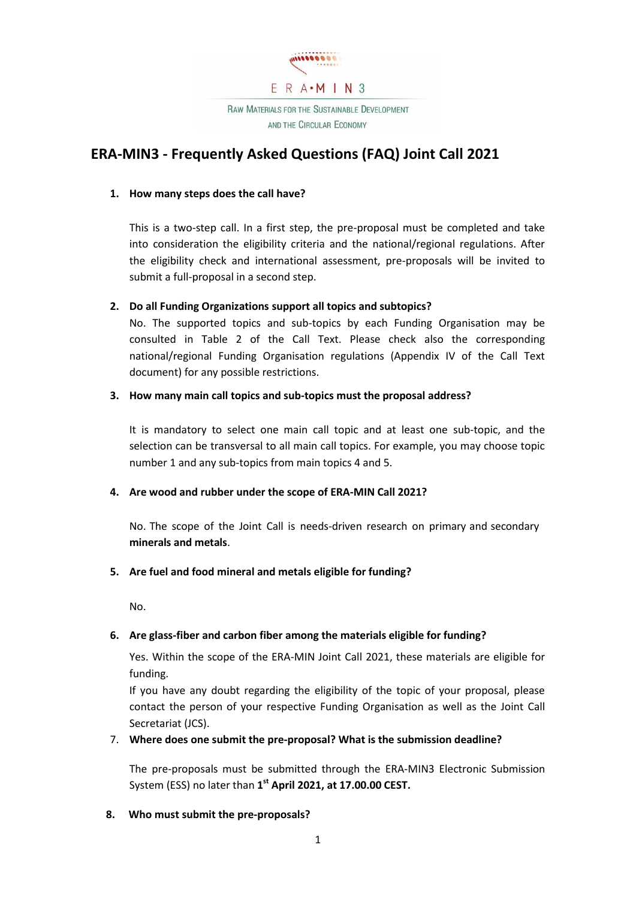

# **ERA-MIN3 - Frequently Asked Questions (FAQ) Joint Call 2021**

### **1. How many steps does the call have?**

This is a two-step call. In a first step, the pre-proposal must be completed and take into consideration the eligibility criteria and the national/regional regulations. After the eligibility check and international assessment, pre-proposals will be invited to submit a full-proposal in a second step.

### **2. Do all Funding Organizations support all topics and subtopics?**

No. The supported topics and sub-topics by each Funding Organisation may be consulted in Table 2 of the Call Text. Please check also the corresponding national/regional Funding Organisation regulations (Appendix IV of the Call Text document) for any possible restrictions.

### **3. How many main call topics and sub-topics must the proposal address?**

It is mandatory to select one main call topic and at least one sub-topic, and the selection can be transversal to all main call topics. For example, you may choose topic number 1 and any sub-topics from main topics 4 and 5.

### **4. Are wood and rubber under the scope of ERA-MIN Call 2021?**

No. The scope of the Joint Call is needs-driven research on primary and secondary **minerals and metals**.

# **5. Are fuel and food mineral and metals eligible for funding?**

No.

# **6. Are glass-fiber and carbon fiber among the materials eligible for funding?**

Yes. Within the scope of the ERA-MIN Joint Call 2021, these materials are eligible for funding.

If you have any doubt regarding the eligibility of the topic of your proposal, please contact the person of your respective Funding Organisation as well as the Joint Call Secretariat (JCS).

### 7. **Where does one submit the pre-proposal? What is the submission deadline?**

The pre-proposals must be submitted through the ERA-MIN3 Electronic Submission System (ESS) no later than **1 st April 2021, at 17.00.00 CEST.**

**8. Who must submit the pre-proposals?**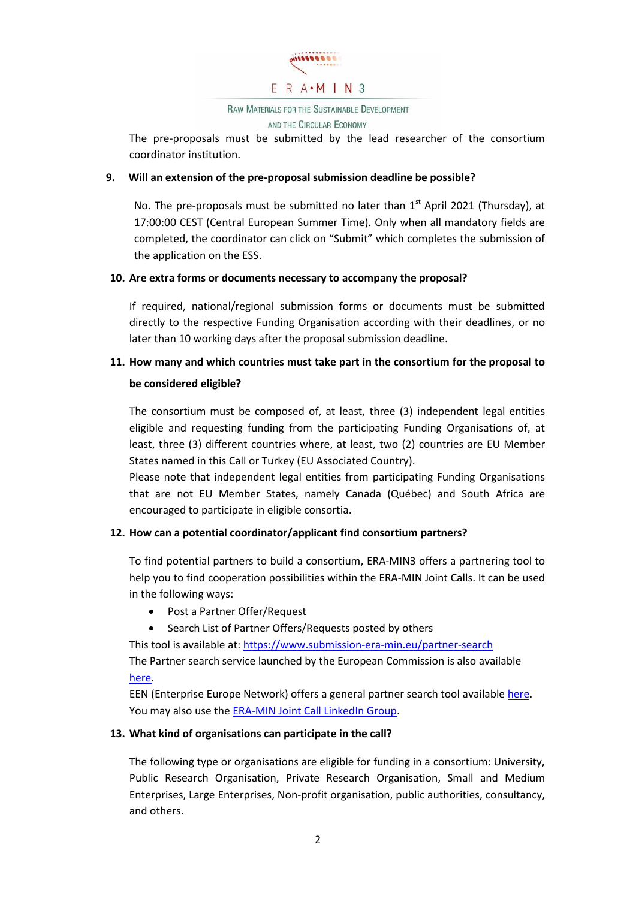

**RAW MATERIALS FOR THE SUSTAINABLE DEVELOPMENT** 

AND THE CIRCULAR ECONOMY

The pre-proposals must be submitted by the lead researcher of the consortium coordinator institution.

## **9. Will an extension of the pre-proposal submission deadline be possible?**

No. The pre-proposals must be submitted no later than  $1<sup>st</sup>$  April 2021 (Thursday), at 17:00:00 CEST (Central European Summer Time). Only when all mandatory fields are completed, the coordinator can click on "Submit" which completes the submission of the application on the ESS.

### **10. Are extra forms or documents necessary to accompany the proposal?**

If required, national/regional submission forms or documents must be submitted directly to the respective Funding Organisation according with their deadlines, or no later than 10 working days after the proposal submission deadline.

# **11. How many and which countries must take part in the consortium for the proposal to**

### **be considered eligible?**

The consortium must be composed of, at least, three (3) independent legal entities eligible and requesting funding from the participating Funding Organisations of, at least, three (3) different countries where, at least, two (2) countries are EU Member States named in this Call or Turkey (EU Associated Country).

Please note that independent legal entities from participating Funding Organisations that are not EU Member States, namely Canada (Québec) and South Africa are encouraged to participate in eligible consortia.

# **12. How can a potential coordinator/applicant find consortium partners?**

To find potential partners to build a consortium, ERA-MIN3 offers a partnering tool to help you to find cooperation possibilities within the ERA-MIN Joint Calls. It can be used in the following ways:

- Post a Partner Offer/Request
- Search List of Partner Offers/Requests posted by others

This tool is available at[: https://www.submission-era-min.eu/partner-search](https://www.submission-era-min.eu/partner-search) The Partner search service launched by the European Commission is also available [here.](https://ec.europa.eu/research/participants/portal/desktop/en/organisations/partner_search.html)

EEN (Enterprise Europe Network) offers a general partner search tool available [here.](http://een.ec.europa.eu/tools/services/SearchCenter/Search/ProfileSimpleSearch?shid=32db25cb-726f-43b0-8b5f-7742d0935799) You may also use the [ERA-MIN Joint Call LinkedIn Group.](https://www.linkedin.com/in/era-min-2-joint-calls-102ba271/)

# **13. What kind of organisations can participate in the call?**

The following type or organisations are eligible for funding in a consortium: University, Public Research Organisation, Private Research Organisation, Small and Medium Enterprises, Large Enterprises, Non-profit organisation, public authorities, consultancy, and others.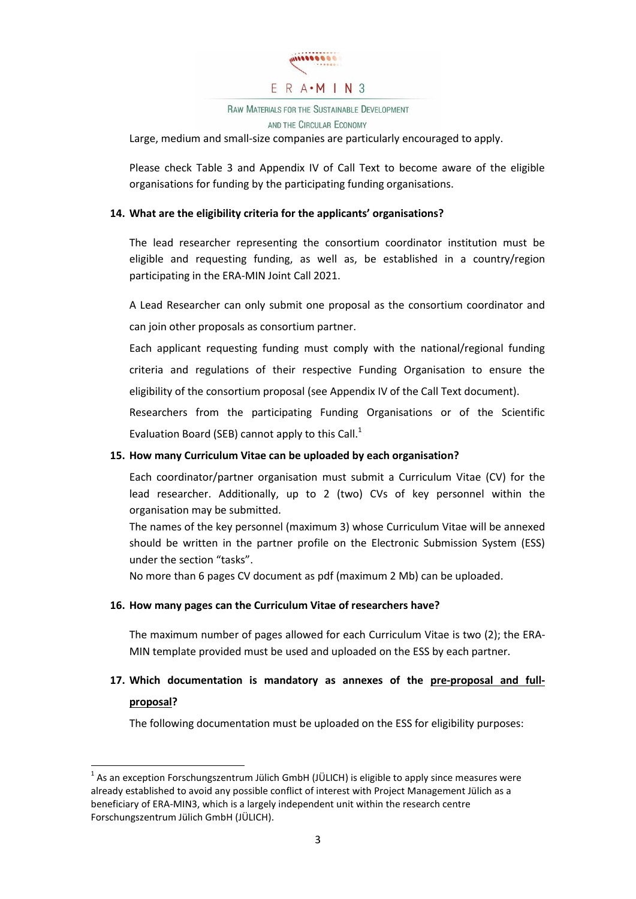

# RAW MATERIALS FOR THE SUSTAINABLE DEVELOPMENT

AND THE CIRCULAR ECONOMY

Large, medium and small-size companies are particularly encouraged to apply.

Please check Table 3 and Appendix IV of Call Text to become aware of the eligible organisations for funding by the participating funding organisations.

### **14. What are the eligibility criteria for the applicants' organisations?**

The lead researcher representing the consortium coordinator institution must be eligible and requesting funding, as well as, be established in a country/region participating in the ERA-MIN Joint Call 2021.

A Lead Researcher can only submit one proposal as the consortium coordinator and can join other proposals as consortium partner.

Each applicant requesting funding must comply with the national/regional funding criteria and regulations of their respective Funding Organisation to ensure the eligibility of the consortium proposal (see Appendix IV of the Call Text document).

Researchers from the participating Funding Organisations or of the Scientific Evaluation Board (SEB) cannot apply to this Call.<sup>1</sup>

### **15. How many Curriculum Vitae can be uploaded by each organisation?**

Each coordinator/partner organisation must submit a Curriculum Vitae (CV) for the lead researcher. Additionally, up to 2 (two) CVs of key personnel within the organisation may be submitted.

The names of the key personnel (maximum 3) whose Curriculum Vitae will be annexed should be written in the partner profile on the Electronic Submission System (ESS) under the section "tasks".

No more than 6 pages CV document as pdf (maximum 2 Mb) can be uploaded.

### **16. How many pages can the Curriculum Vitae of researchers have?**

1

The maximum number of pages allowed for each Curriculum Vitae is two (2); the ERA-MIN template provided must be used and uploaded on the ESS by each partner.

# **17. Which documentation is mandatory as annexes of the pre-proposal and fullproposal?**

The following documentation must be uploaded on the ESS for eligibility purposes:

 $^{1}$  As an exception Forschungszentrum Jülich GmbH (JÜLICH) is eligible to apply since measures were already established to avoid any possible conflict of interest with Project Management Jülich as a beneficiary of ERA-MIN3, which is a largely independent unit within the research centre Forschungszentrum Jülich GmbH (JÜLICH).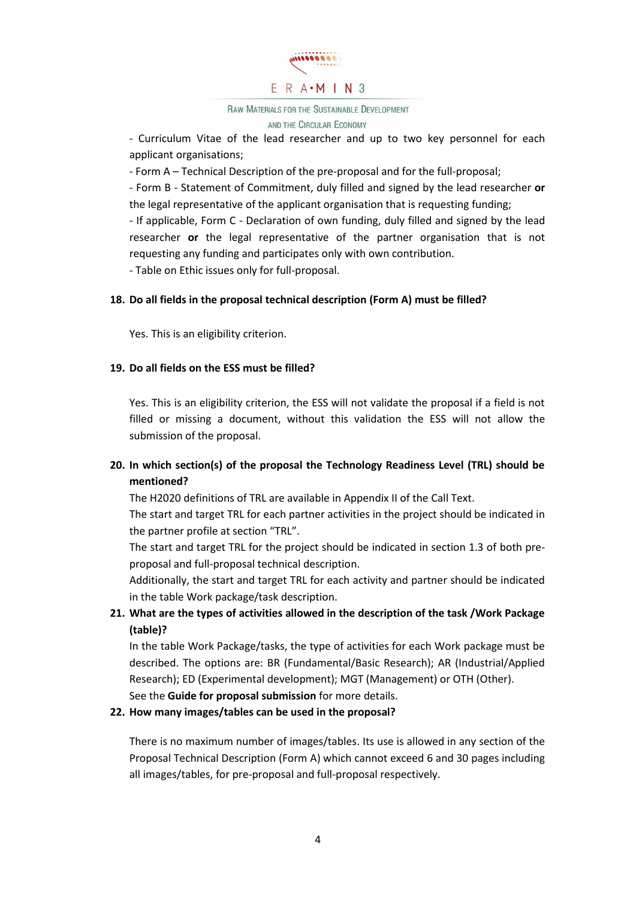

### **RAW MATERIALS FOR THE SUSTAINABLE DEVELOPMENT** AND THE CIRCULAR ECONOMY

- Curriculum Vitae of the lead researcher and up to two key personnel for each applicant organisations;

- Form A – Technical Description of the pre-proposal and for the full-proposal;

- Form B - Statement of Commitment, duly filled and signed by the lead researcher **or** the legal representative of the applicant organisation that is requesting funding;

- If applicable, Form C - Declaration of own funding, duly filled and signed by the lead researcher **or** the legal representative of the partner organisation that is not requesting any funding and participates only with own contribution.

- Table on Ethic issues only for full-proposal.

# **18. Do all fields in the proposal technical description (Form A) must be filled?**

Yes. This is an eligibility criterion.

### **19. Do all fields on the ESS must be filled?**

Yes. This is an eligibility criterion, the ESS will not validate the proposal if a field is not filled or missing a document, without this validation the ESS will not allow the submission of the proposal.

# **20. In which section(s) of the proposal the Technology Readiness Level (TRL) should be mentioned?**

The H2020 definitions of TRL are available in Appendix II of the Call Text.

The start and target TRL for each partner activities in the project should be indicated in the partner profile at section "TRL".

The start and target TRL for the project should be indicated in section 1.3 of both preproposal and full-proposal technical description.

Additionally, the start and target TRL for each activity and partner should be indicated in the table Work package/task description.

# **21. What are the types of activities allowed in the description of the task /Work Package (table)?**

In the table Work Package/tasks, the type of activities for each Work package must be described. The options are: BR (Fundamental/Basic Research); AR (Industrial/Applied Research); ED (Experimental development); MGT (Management) or OTH (Other).

See the **Guide for proposal submission** for more details.

# **22. How many images/tables can be used in the proposal?**

There is no maximum number of images/tables. Its use is allowed in any section of the Proposal Technical Description (Form A) which cannot exceed 6 and 30 pages including all images/tables, for pre-proposal and full-proposal respectively.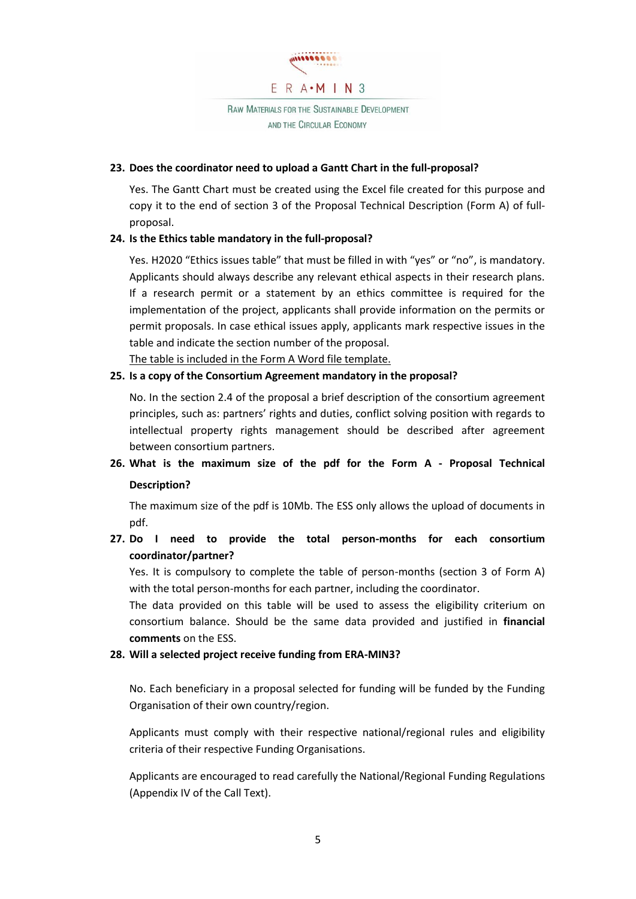

**RAW MATERIALS FOR THE SUSTAINABLE DEVELOPMENT** AND THE CIRCULAR ECONOMY

#### **23. Does the coordinator need to upload a Gantt Chart in the full-proposal?**

Yes. The Gantt Chart must be created using the Excel file created for this purpose and copy it to the end of section 3 of the Proposal Technical Description (Form A) of fullproposal.

### **24. Is the Ethics table mandatory in the full-proposal?**

Yes. H2020 "Ethics issues table" that must be filled in with "yes" or "no", is mandatory. Applicants should always describe any relevant ethical aspects in their research plans. If a research permit or a statement by an ethics committee is required for the implementation of the project, applicants shall provide information on the permits or permit proposals. In case ethical issues apply, applicants mark respective issues in the table and indicate the section number of the proposal.

The table is included in the Form A Word file template.

### **25. Is a copy of the Consortium Agreement mandatory in the proposal?**

No. In the section 2.4 of the proposal a brief description of the consortium agreement principles, such as: partners' rights and duties, conflict solving position with regards to intellectual property rights management should be described after agreement between consortium partners.

**26. What is the maximum size of the pdf for the Form A - Proposal Technical Description?**

The maximum size of the pdf is 10Mb. The ESS only allows the upload of documents in pdf.

**27. Do I need to provide the total person-months for each consortium coordinator/partner?**

Yes. It is compulsory to complete the table of person-months (section 3 of Form A) with the total person-months for each partner, including the coordinator.

The data provided on this table will be used to assess the eligibility criterium on consortium balance. Should be the same data provided and justified in **financial comments** on the ESS.

### **28. Will a selected project receive funding from ERA-MIN3?**

No. Each beneficiary in a proposal selected for funding will be funded by the Funding Organisation of their own country/region.

Applicants must comply with their respective national/regional rules and eligibility criteria of their respective Funding Organisations.

Applicants are encouraged to read carefully the National/Regional Funding Regulations (Appendix IV of the Call Text).